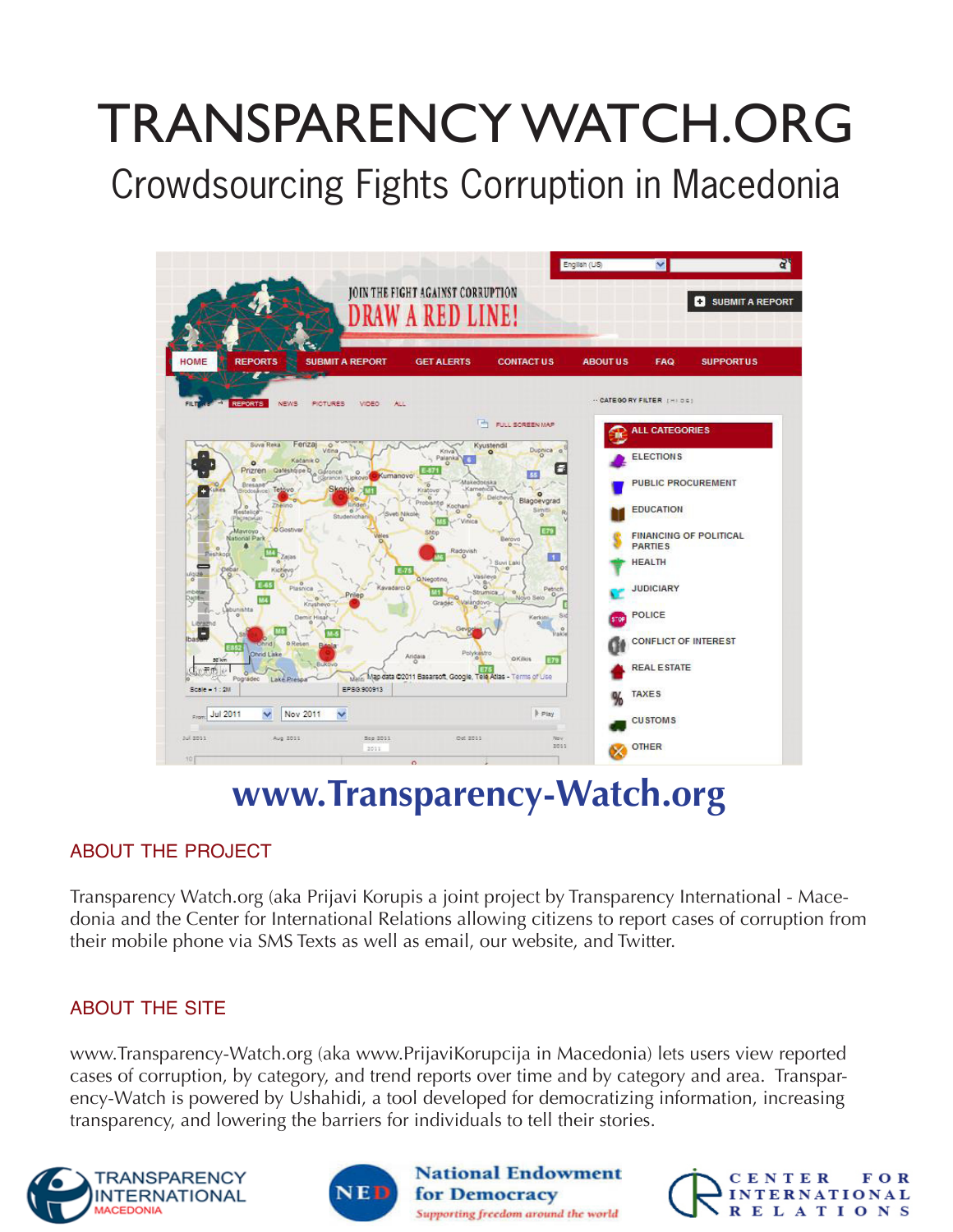# TRANSPARENCY WATCH.ORG

Crowdsourcing Fights Corruption in Macedonia



### **www.Transparency-Watch.org**

#### ABOUT THE PROJECT

Transparency Watch.org (aka Prijavi Korupis a joint project by Transparency International - Macedonia and the Center for International Relations allowing citizens to report cases of corruption from their mobile phone via SMS Texts as well as email, our website, and Twitter.

#### ABOUT THE SITE

www.Transparency-Watch.org (aka www.PrijaviKorupcija in Macedonia) lets users view reported cases of corruption, by category, and trend reports over time and by category and area. Transparency-Watch is powered by Ushahidi, a tool developed for democratizing information, increasing transparency, and lowering the barriers for individuals to tell their stories.

**National Endowment** 

Supporting freedom around the world

for Democracy